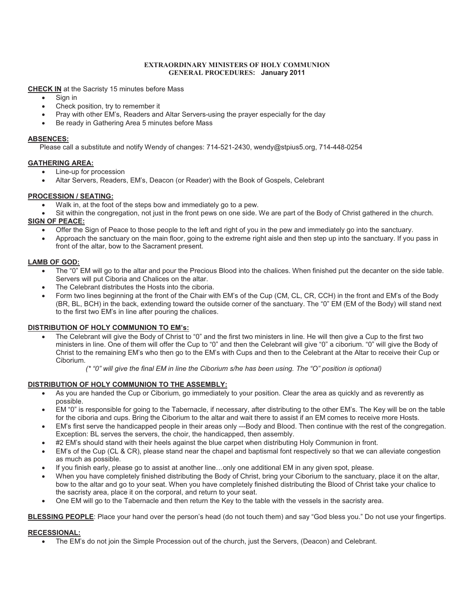#### **EXTRAORDINARY MINISTERS OF HOLY COMMUNION GENERAL PROCEDURES: January 2011**

**<u>CHECK IN</u>** at the Sacristy 15 minutes before Mass<br>• Sign in

- 
- Sign in<br>• Check position, try to remember it
- Check position, try to remember it<br>• Pray with other EM's, Readers an ·Pray with other EM's, Readers and Altar Servers-using the prayer especially for the day
- Be ready in Gathering Area 5 minutes before Mass

#### **ABSENCES:**

Please call a substitute and notify Wendy of changes: 714-521-2430, wendy@stpius5.org, 714-448-0254

### **GATHERING AREA:**<br>• Line-up for p

- 
- ·Line-up for procession Altar Servers, Readers, EM's, Deacon (or Reader) with the Book of Gospels, Celebrant

### **PROCESSION / SEATING:**

- Walk in, at the foot of the steps bow and immediately go to a pew.
- ·Walk in, at the foot of the steps bow and immediately go to a pew. Sit within the congregation, not just in the front pews on one side. We are part of the Body of Christ gathered in the church.
- **SIGN OF PEACE:**<br>• Offer the
	- Offer the Sign of Peace to those people to the left and right of you in the pew and immediately go into the sanctuary.<br>● Approach the sanctuary on the main floor, going to the extreme right aisle and then step up into front of the altar, bow to the Sacrament present.

## **LAMB OF GOD:**<br>• The "0"

- The "0" EM will go to the altar and pour the Precious Blood into the chalices. When finished put the decanter on the side table.<br>Servers will put Ciboria and Chalices on the altar.
- The Celebrant distributes the Hosts into the ciboria.
- ·The Celebrant distributes the Hosts into the ciboria. Form two lines beginning at the front of the Chair with EM's of the Cup (CM, CL, CR, CCH) in the front and EM's of the Body (BR, BL, BCH) in the back, extending toward the outside corner of the sanctuary. The "0" EM (EM of the Body) will stand next to the first two EM's in line after pouring the chalices.

#### **DISTRIBUTION OF HOLY COMMUNION TO EM's:**

**FRIBUTION OF HOLY COMMUNION TO EM's:**<br>● The Celebrant will give the Body of Christ to "0" and the first two ministers in line. He will then give a Cup to the first two ministers in line. One of them will offer the Cup to "0" and then the Celebrant will give "0" a ciborium. "0" will give the Body of Christ to the remaining EM's who then go to the EM's with Cups and then to the Celebrant at the Altar to receive their Cup or Ciborium.

*(\* "0" will give the final EM in line the Ciborium s/he has been using. The "O" position is optional)*

#### **DISTRIBUTION OF HOLY COMMUNION TO THE ASSEMBLY:**

- **ΓRIBUTION OF HOLY COMMUNION TO THE ASSEMBLY:**<br>● As you are handed the Cup or Ciborium, go immediately to your position. Clear the area as quickly and as reverently as
- ·possible. EM "0" is responsible for going to the Tabernacle, if necessary, after distributing to the other EM's. The Key will be on the table
- for the ciboria and cups. Bring the Ciborium to the altar and wait there to assist if an EM comes to receive more Hosts.<br>■ EM's first serve the handicapped people in their areas only ---Body and Blood. Then continue with Exception: BL serves the servers, the choir, the handicapped, then assembly.<br>#2 EM's should stand with their heels against the blue carpet when distributing Holy Communion in front.
- 
- #2 EM's should stand with their heels against the blue carpet when distributing Holy Communion in front.<br>● EM's of the Cup (CL & CR), please stand near the chapel and baptismal font respectively so that we can allev as much as possible.<br>If you finish early, please go to assist at another line...only one additional EM in any given spot, please.
- 
- If you finish early, please go to assist at another line…only one additional EM in any given spot, please.<br>● When you have completely finished distributing the Body of Christ, bring your Ciborium to the sanctuary, pl bow to the altar and go to your seat. When you have completely finished distributing the Blood of Christ take your chalice to
- ·the sacristy area, place it on the corporal, and return to your seat. One EM will go to the Tabernacle and then return the Key to the table with the vessels in the sacristy area.

**BLESSING PEOPLE**: Place your hand over the person's head (do not touch them) and say "God bless you." Do not use your fingertips.

# **RECESSIONAL:**<br>The EM

The EM's do not join the Simple Procession out of the church, just the Servers, (Deacon) and Celebrant.